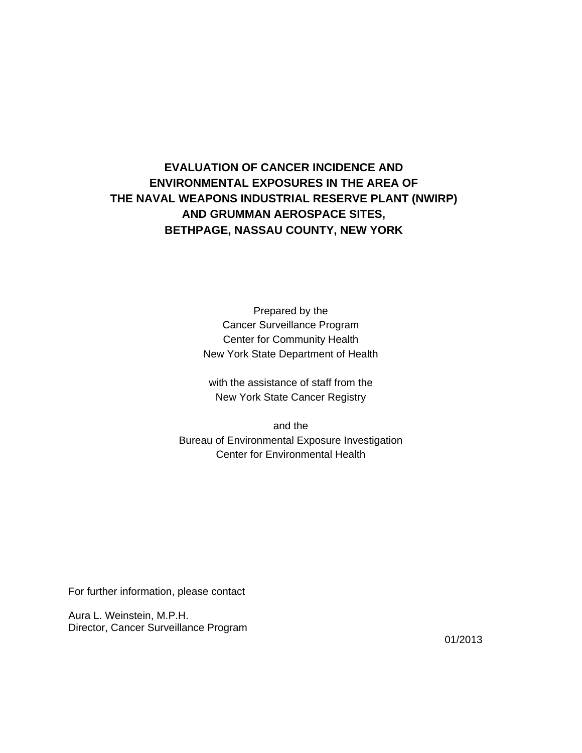# **EVALUATION OF CANCER INCIDENCE AND ENVIRONMENTAL EXPOSURES IN THE AREA OF THE NAVAL WEAPONS INDUSTRIAL RESERVE PLANT (NWIRP) AND GRUMMAN AEROSPACE SITES, BETHPAGE, NASSAU COUNTY, NEW YORK**

Prepared by the Cancer Surveillance Program Center for Community Health New York State Department of Health

 with the assistance of staff from the New York State Cancer Registry

 and the Bureau of Environmental Exposure Investigation Center for Environmental Health

For further information, please contact

Aura L. Weinstein, M.P.H. Director, Cancer Surveillance Program

01/2013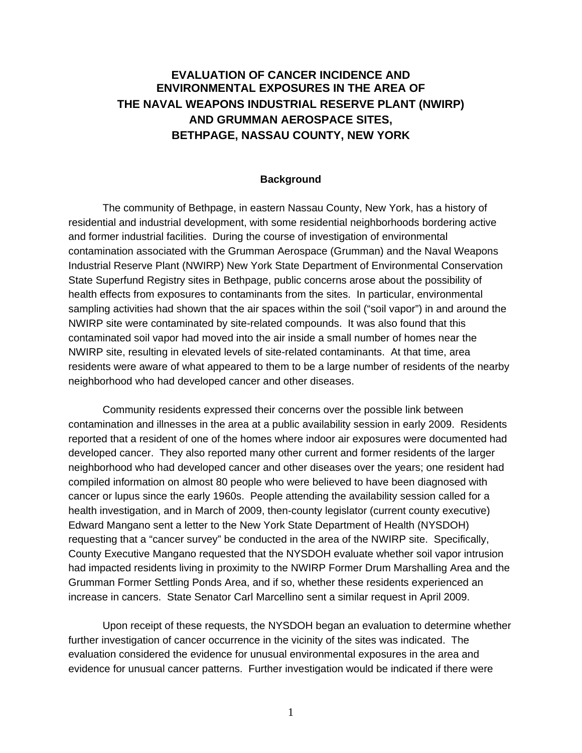## **EVALUATION OF CANCER INCIDENCE AND ENVIRONMENTAL EXPOSURES IN THE AREA OF THE NAVAL WEAPONS INDUSTRIAL RESERVE PLANT (NWIRP) AND GRUMMAN AEROSPACE SITES, BETHPAGE, NASSAU COUNTY, NEW YORK**

### **Background**

 The community of Bethpage, in eastern Nassau County, New York, has a history of residential and industrial development, with some residential neighborhoods bordering active and former industrial facilities. During the course of investigation of environmental contamination associated with the Grumman Aerospace (Grumman) and the Naval Weapons Industrial Reserve Plant (NWIRP) New York State Department of Environmental Conservation State Superfund Registry sites in Bethpage, public concerns arose about the possibility of health effects from exposures to contaminants from the sites. In particular, environmental sampling activities had shown that the air spaces within the soil ("soil vapor") in and around the NWIRP site were contaminated by site-related compounds. It was also found that this contaminated soil vapor had moved into the air inside a small number of homes near the NWIRP site, resulting in elevated levels of site-related contaminants. At that time, area residents were aware of what appeared to them to be a large number of residents of the nearby neighborhood who had developed cancer and other diseases.

 Community residents expressed their concerns over the possible link between contamination and illnesses in the area at a public availability session in early 2009. Residents reported that a resident of one of the homes where indoor air exposures were documented had developed cancer. They also reported many other current and former residents of the larger neighborhood who had developed cancer and other diseases over the years; one resident had compiled information on almost 80 people who were believed to have been diagnosed with cancer or lupus since the early 1960s. People attending the availability session called for a health investigation, and in March of 2009, then-county legislator (current county executive) Edward Mangano sent a letter to the New York State Department of Health (NYSDOH) requesting that a "cancer survey" be conducted in the area of the NWIRP site. Specifically, County Executive Mangano requested that the NYSDOH evaluate whether soil vapor intrusion had impacted residents living in proximity to the NWIRP Former Drum Marshalling Area and the Grumman Former Settling Ponds Area, and if so, whether these residents experienced an increase in cancers. State Senator Carl Marcellino sent a similar request in April 2009.

 Upon receipt of these requests, the NYSDOH began an evaluation to determine whether further investigation of cancer occurrence in the vicinity of the sites was indicated. The evaluation considered the evidence for unusual environmental exposures in the area and evidence for unusual cancer patterns. Further investigation would be indicated if there were

1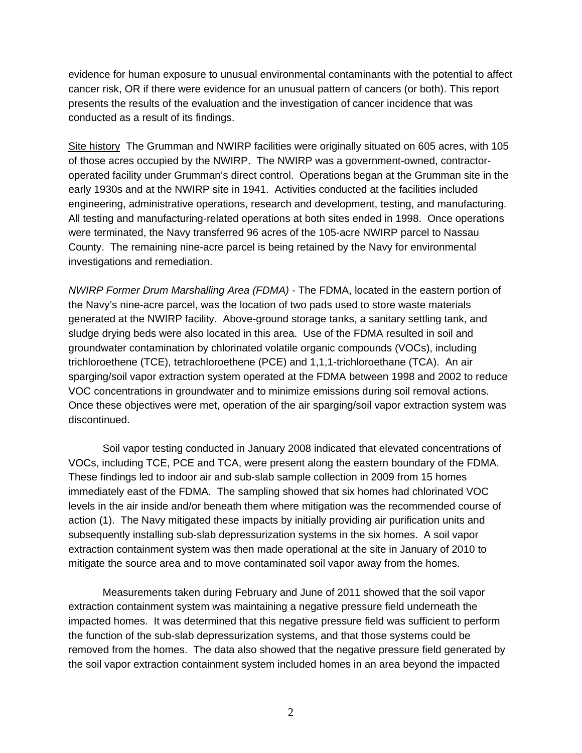evidence for human exposure to unusual environmental contaminants with the potential to affect cancer risk, OR if there were evidence for an unusual pattern of cancers (or both). This report presents the results of the evaluation and the investigation of cancer incidence that was conducted as a result of its findings.

Site history The Grumman and NWIRP facilities were originally situated on 605 acres, with 105 of those acres occupied by the NWIRP. The NWIRP was a government-owned, contractoroperated facility under Grumman's direct control. Operations began at the Grumman site in the early 1930s and at the NWIRP site in 1941. Activities conducted at the facilities included engineering, administrative operations, research and development, testing, and manufacturing. All testing and manufacturing-related operations at both sites ended in 1998. Once operations were terminated, the Navy transferred 96 acres of the 105-acre NWIRP parcel to Nassau County. The remaining nine-acre parcel is being retained by the Navy for environmental investigations and remediation.

*NWIRP Former Drum Marshalling Area (FDMA) -* The FDMA, located in the eastern portion of the Navy's nine-acre parcel, was the location of two pads used to store waste materials generated at the NWIRP facility. Above-ground storage tanks, a sanitary settling tank, and sludge drying beds were also located in this area. Use of the FDMA resulted in soil and groundwater contamination by chlorinated volatile organic compounds (VOCs), including trichloroethene (TCE), tetrachloroethene (PCE) and 1,1,1-trichloroethane (TCA). An air sparging/soil vapor extraction system operated at the FDMA between 1998 and 2002 to reduce VOC concentrations in groundwater and to minimize emissions during soil removal actions. Once these objectives were met, operation of the air sparging/soil vapor extraction system was discontinued.

 Soil vapor testing conducted in January 2008 indicated that elevated concentrations of VOCs, including TCE, PCE and TCA, were present along the eastern boundary of the FDMA. These findings led to indoor air and sub-slab sample collection in 2009 from 15 homes immediately east of the FDMA. The sampling showed that six homes had chlorinated VOC levels in the air inside and/or beneath them where mitigation was the recommended course of action (1). The Navy mitigated these impacts by initially providing air purification units and subsequently installing sub-slab depressurization systems in the six homes. A soil vapor extraction containment system was then made operational at the site in January of 2010 to mitigate the source area and to move contaminated soil vapor away from the homes.

 Measurements taken during February and June of 2011 showed that the soil vapor extraction containment system was maintaining a negative pressure field underneath the impacted homes. It was determined that this negative pressure field was sufficient to perform the function of the sub-slab depressurization systems, and that those systems could be removed from the homes. The data also showed that the negative pressure field generated by the soil vapor extraction containment system included homes in an area beyond the impacted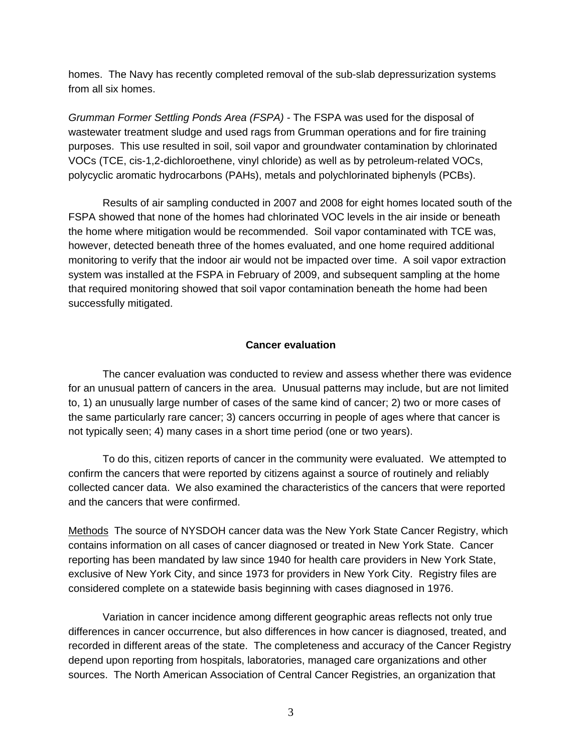homes. The Navy has recently completed removal of the sub-slab depressurization systems from all six homes.

*Grumman Former Settling Ponds Area (FSPA) -* The FSPA was used for the disposal of wastewater treatment sludge and used rags from Grumman operations and for fire training purposes. This use resulted in soil, soil vapor and groundwater contamination by chlorinated VOCs (TCE, cis-1,2-dichloroethene, vinyl chloride) as well as by petroleum-related VOCs, polycyclic aromatic hydrocarbons (PAHs), metals and polychlorinated biphenyls (PCBs).

 Results of air sampling conducted in 2007 and 2008 for eight homes located south of the FSPA showed that none of the homes had chlorinated VOC levels in the air inside or beneath the home where mitigation would be recommended. Soil vapor contaminated with TCE was, however, detected beneath three of the homes evaluated, and one home required additional monitoring to verify that the indoor air would not be impacted over time. A soil vapor extraction system was installed at the FSPA in February of 2009, and subsequent sampling at the home that required monitoring showed that soil vapor contamination beneath the home had been successfully mitigated.

### **Cancer evaluation**

 The cancer evaluation was conducted to review and assess whether there was evidence for an unusual pattern of cancers in the area. Unusual patterns may include, but are not limited to, 1) an unusually large number of cases of the same kind of cancer; 2) two or more cases of the same particularly rare cancer; 3) cancers occurring in people of ages where that cancer is not typically seen; 4) many cases in a short time period (one or two years).

 To do this, citizen reports of cancer in the community were evaluated. We attempted to confirm the cancers that were reported by citizens against a source of routinely and reliably collected cancer data. We also examined the characteristics of the cancers that were reported and the cancers that were confirmed.

Methods The source of NYSDOH cancer data was the New York State Cancer Registry, which contains information on all cases of cancer diagnosed or treated in New York State. Cancer reporting has been mandated by law since 1940 for health care providers in New York State, exclusive of New York City, and since 1973 for providers in New York City. Registry files are considered complete on a statewide basis beginning with cases diagnosed in 1976.

Variation in cancer incidence among different geographic areas reflects not only true differences in cancer occurrence, but also differences in how cancer is diagnosed, treated, and recorded in different areas of the state. The completeness and accuracy of the Cancer Registry depend upon reporting from hospitals, laboratories, managed care organizations and other sources. The North American Association of Central Cancer Registries, an organization that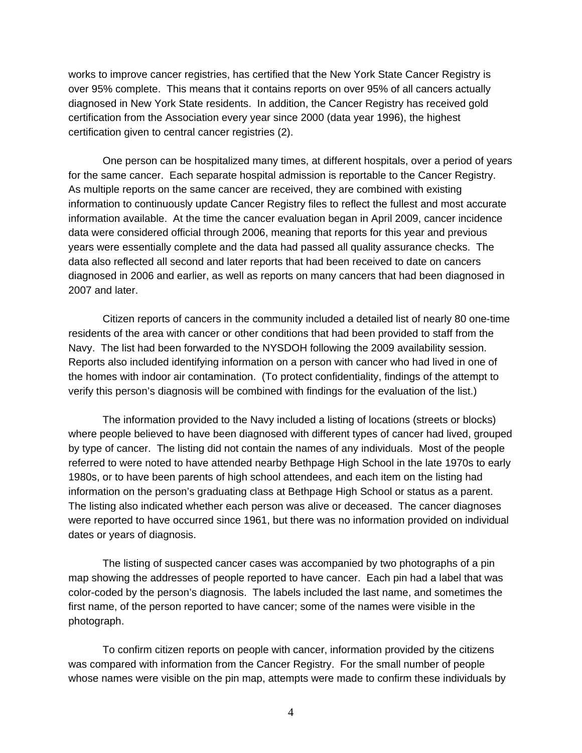works to improve cancer registries, has certified that the New York State Cancer Registry is over 95% complete. This means that it contains reports on over 95% of all cancers actually diagnosed in New York State residents. In addition, the Cancer Registry has received gold certification from the Association every year since 2000 (data year 1996), the highest certification given to central cancer registries (2).

 One person can be hospitalized many times, at different hospitals, over a period of years for the same cancer. Each separate hospital admission is reportable to the Cancer Registry. As multiple reports on the same cancer are received, they are combined with existing information to continuously update Cancer Registry files to reflect the fullest and most accurate information available. At the time the cancer evaluation began in April 2009, cancer incidence data were considered official through 2006, meaning that reports for this year and previous years were essentially complete and the data had passed all quality assurance checks. The data also reflected all second and later reports that had been received to date on cancers diagnosed in 2006 and earlier, as well as reports on many cancers that had been diagnosed in 2007 and later.

 Citizen reports of cancers in the community included a detailed list of nearly 80 one-time residents of the area with cancer or other conditions that had been provided to staff from the Navy. The list had been forwarded to the NYSDOH following the 2009 availability session. Reports also included identifying information on a person with cancer who had lived in one of the homes with indoor air contamination. (To protect confidentiality, findings of the attempt to verify this person's diagnosis will be combined with findings for the evaluation of the list.)

 The information provided to the Navy included a listing of locations (streets or blocks) where people believed to have been diagnosed with different types of cancer had lived, grouped by type of cancer. The listing did not contain the names of any individuals. Most of the people referred to were noted to have attended nearby Bethpage High School in the late 1970s to early 1980s, or to have been parents of high school attendees, and each item on the listing had information on the person's graduating class at Bethpage High School or status as a parent. The listing also indicated whether each person was alive or deceased. The cancer diagnoses were reported to have occurred since 1961, but there was no information provided on individual dates or years of diagnosis.

 The listing of suspected cancer cases was accompanied by two photographs of a pin map showing the addresses of people reported to have cancer. Each pin had a label that was color-coded by the person's diagnosis. The labels included the last name, and sometimes the first name, of the person reported to have cancer; some of the names were visible in the photograph.

 To confirm citizen reports on people with cancer, information provided by the citizens was compared with information from the Cancer Registry. For the small number of people whose names were visible on the pin map, attempts were made to confirm these individuals by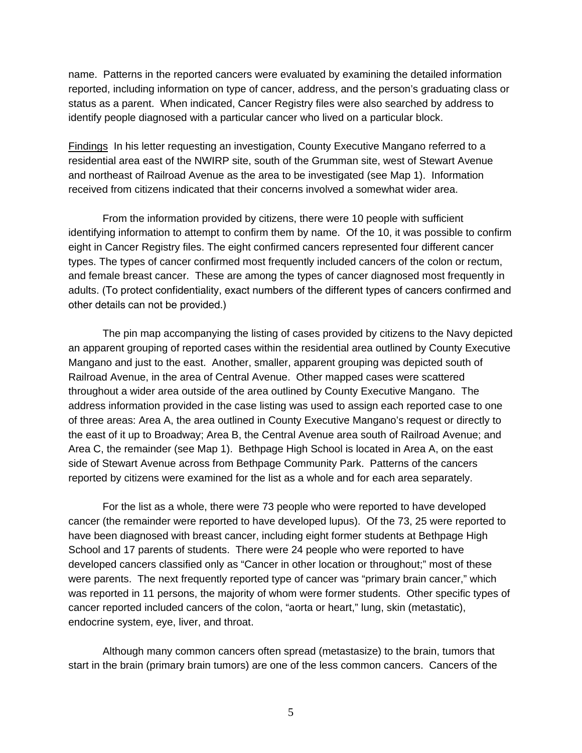name. Patterns in the reported cancers were evaluated by examining the detailed information reported, including information on type of cancer, address, and the person's graduating class or status as a parent. When indicated, Cancer Registry files were also searched by address to identify people diagnosed with a particular cancer who lived on a particular block.

Findings In his letter requesting an investigation, County Executive Mangano referred to a residential area east of the NWIRP site, south of the Grumman site, west of Stewart Avenue and northeast of Railroad Avenue as the area to be investigated (see Map 1). Information received from citizens indicated that their concerns involved a somewhat wider area.

 From the information provided by citizens, there were 10 people with sufficient identifying information to attempt to confirm them by name. Of the 10, it was possible to confirm eight in Cancer Registry files. The eight confirmed cancers represented four different cancer types. The types of cancer confirmed most frequently included cancers of the colon or rectum, and female breast cancer. These are among the types of cancer diagnosed most frequently in adults. (To protect confidentiality, exact numbers of the different types of cancers confirmed and other details can not be provided.)

 The pin map accompanying the listing of cases provided by citizens to the Navy depicted an apparent grouping of reported cases within the residential area outlined by County Executive Mangano and just to the east. Another, smaller, apparent grouping was depicted south of Railroad Avenue, in the area of Central Avenue. Other mapped cases were scattered throughout a wider area outside of the area outlined by County Executive Mangano. The address information provided in the case listing was used to assign each reported case to one of three areas: Area A, the area outlined in County Executive Mangano's request or directly to the east of it up to Broadway; Area B, the Central Avenue area south of Railroad Avenue; and Area C, the remainder (see Map 1). Bethpage High School is located in Area A, on the east side of Stewart Avenue across from Bethpage Community Park. Patterns of the cancers reported by citizens were examined for the list as a whole and for each area separately.

 For the list as a whole, there were 73 people who were reported to have developed cancer (the remainder were reported to have developed lupus). Of the 73, 25 were reported to have been diagnosed with breast cancer, including eight former students at Bethpage High School and 17 parents of students. There were 24 people who were reported to have developed cancers classified only as "Cancer in other location or throughout;" most of these were parents. The next frequently reported type of cancer was "primary brain cancer," which was reported in 11 persons, the majority of whom were former students. Other specific types of cancer reported included cancers of the colon, "aorta or heart," lung, skin (metastatic), endocrine system, eye, liver, and throat.

 Although many common cancers often spread (metastasize) to the brain, tumors that start in the brain (primary brain tumors) are one of the less common cancers. Cancers of the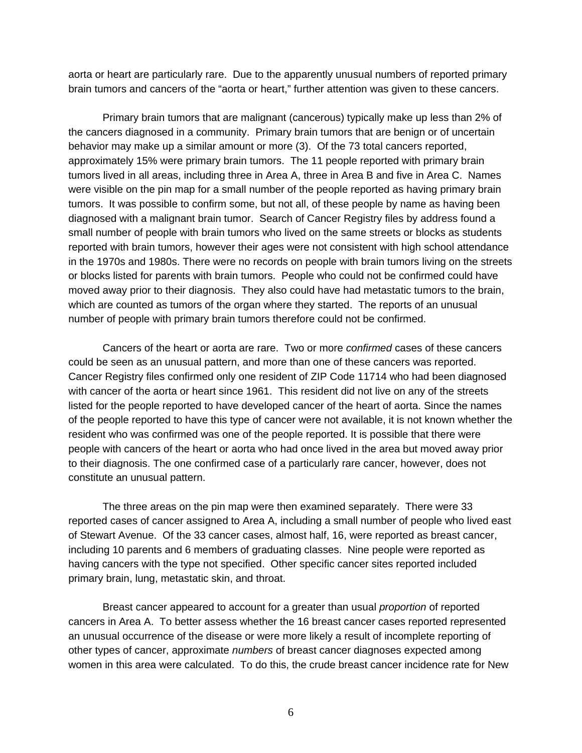aorta or heart are particularly rare. Due to the apparently unusual numbers of reported primary brain tumors and cancers of the "aorta or heart," further attention was given to these cancers.

 Primary brain tumors that are malignant (cancerous) typically make up less than 2% of the cancers diagnosed in a community. Primary brain tumors that are benign or of uncertain behavior may make up a similar amount or more (3). Of the 73 total cancers reported, approximately 15% were primary brain tumors. The 11 people reported with primary brain tumors lived in all areas, including three in Area A, three in Area B and five in Area C. Names were visible on the pin map for a small number of the people reported as having primary brain tumors. It was possible to confirm some, but not all, of these people by name as having been diagnosed with a malignant brain tumor. Search of Cancer Registry files by address found a small number of people with brain tumors who lived on the same streets or blocks as students reported with brain tumors, however their ages were not consistent with high school attendance in the 1970s and 1980s. There were no records on people with brain tumors living on the streets or blocks listed for parents with brain tumors. People who could not be confirmed could have moved away prior to their diagnosis. They also could have had metastatic tumors to the brain, which are counted as tumors of the organ where they started. The reports of an unusual number of people with primary brain tumors therefore could not be confirmed.

 Cancers of the heart or aorta are rare. Two or more *confirmed* cases of these cancers could be seen as an unusual pattern, and more than one of these cancers was reported. Cancer Registry files confirmed only one resident of ZIP Code 11714 who had been diagnosed with cancer of the aorta or heart since 1961. This resident did not live on any of the streets listed for the people reported to have developed cancer of the heart of aorta. Since the names of the people reported to have this type of cancer were not available, it is not known whether the resident who was confirmed was one of the people reported. It is possible that there were people with cancers of the heart or aorta who had once lived in the area but moved away prior to their diagnosis. The one confirmed case of a particularly rare cancer, however, does not constitute an unusual pattern.

 The three areas on the pin map were then examined separately. There were 33 reported cases of cancer assigned to Area A, including a small number of people who lived east of Stewart Avenue. Of the 33 cancer cases, almost half, 16, were reported as breast cancer, including 10 parents and 6 members of graduating classes. Nine people were reported as having cancers with the type not specified. Other specific cancer sites reported included primary brain, lung, metastatic skin, and throat.

 Breast cancer appeared to account for a greater than usual *proportion* of reported cancers in Area A. To better assess whether the 16 breast cancer cases reported represented an unusual occurrence of the disease or were more likely a result of incomplete reporting of other types of cancer, approximate *numbers* of breast cancer diagnoses expected among women in this area were calculated. To do this, the crude breast cancer incidence rate for New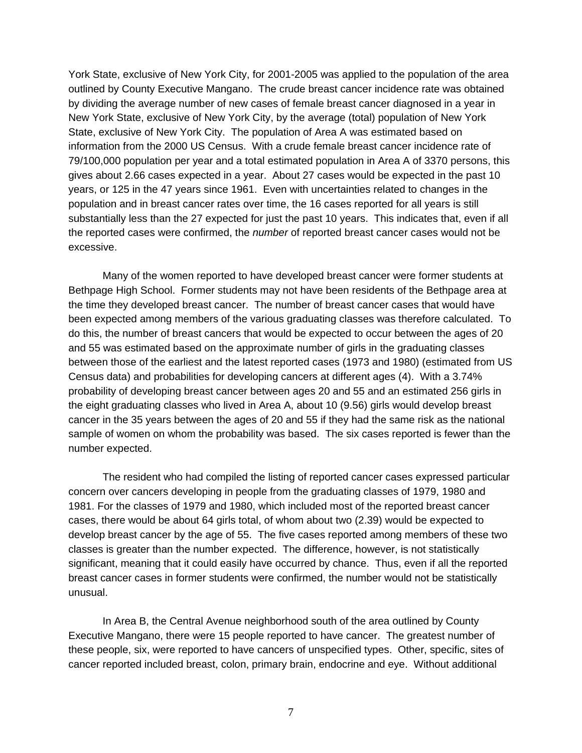York State, exclusive of New York City, for 2001-2005 was applied to the population of the area outlined by County Executive Mangano. The crude breast cancer incidence rate was obtained by dividing the average number of new cases of female breast cancer diagnosed in a year in New York State, exclusive of New York City, by the average (total) population of New York State, exclusive of New York City. The population of Area A was estimated based on information from the 2000 US Census. With a crude female breast cancer incidence rate of 79/100,000 population per year and a total estimated population in Area A of 3370 persons, this gives about 2.66 cases expected in a year. About 27 cases would be expected in the past 10 years, or 125 in the 47 years since 1961. Even with uncertainties related to changes in the population and in breast cancer rates over time, the 16 cases reported for all years is still substantially less than the 27 expected for just the past 10 years. This indicates that, even if all the reported cases were confirmed, the *number* of reported breast cancer cases would not be excessive.

 Many of the women reported to have developed breast cancer were former students at Bethpage High School. Former students may not have been residents of the Bethpage area at the time they developed breast cancer. The number of breast cancer cases that would have been expected among members of the various graduating classes was therefore calculated. To do this, the number of breast cancers that would be expected to occur between the ages of 20 and 55 was estimated based on the approximate number of girls in the graduating classes between those of the earliest and the latest reported cases (1973 and 1980) (estimated from US Census data) and probabilities for developing cancers at different ages (4). With a 3.74% probability of developing breast cancer between ages 20 and 55 and an estimated 256 girls in the eight graduating classes who lived in Area A, about 10 (9.56) girls would develop breast cancer in the 35 years between the ages of 20 and 55 if they had the same risk as the national sample of women on whom the probability was based. The six cases reported is fewer than the number expected.

 The resident who had compiled the listing of reported cancer cases expressed particular concern over cancers developing in people from the graduating classes of 1979, 1980 and 1981. For the classes of 1979 and 1980, which included most of the reported breast cancer cases, there would be about 64 girls total, of whom about two (2.39) would be expected to develop breast cancer by the age of 55. The five cases reported among members of these two classes is greater than the number expected. The difference, however, is not statistically significant, meaning that it could easily have occurred by chance. Thus, even if all the reported breast cancer cases in former students were confirmed, the number would not be statistically unusual.

 In Area B, the Central Avenue neighborhood south of the area outlined by County Executive Mangano, there were 15 people reported to have cancer. The greatest number of these people, six, were reported to have cancers of unspecified types. Other, specific, sites of cancer reported included breast, colon, primary brain, endocrine and eye. Without additional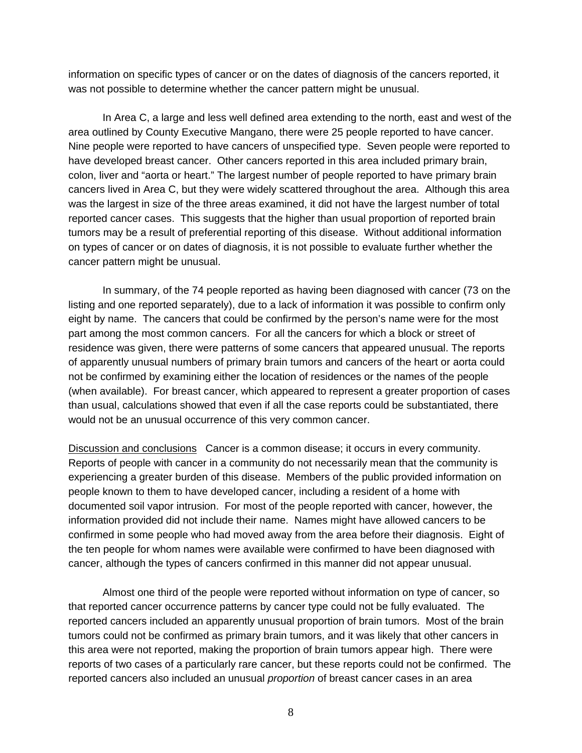information on specific types of cancer or on the dates of diagnosis of the cancers reported, it was not possible to determine whether the cancer pattern might be unusual.

 In Area C, a large and less well defined area extending to the north, east and west of the area outlined by County Executive Mangano, there were 25 people reported to have cancer. Nine people were reported to have cancers of unspecified type. Seven people were reported to have developed breast cancer. Other cancers reported in this area included primary brain, colon, liver and "aorta or heart." The largest number of people reported to have primary brain cancers lived in Area C, but they were widely scattered throughout the area. Although this area was the largest in size of the three areas examined, it did not have the largest number of total reported cancer cases. This suggests that the higher than usual proportion of reported brain tumors may be a result of preferential reporting of this disease. Without additional information on types of cancer or on dates of diagnosis, it is not possible to evaluate further whether the cancer pattern might be unusual.

 In summary, of the 74 people reported as having been diagnosed with cancer (73 on the listing and one reported separately), due to a lack of information it was possible to confirm only eight by name. The cancers that could be confirmed by the person's name were for the most part among the most common cancers. For all the cancers for which a block or street of residence was given, there were patterns of some cancers that appeared unusual. The reports of apparently unusual numbers of primary brain tumors and cancers of the heart or aorta could not be confirmed by examining either the location of residences or the names of the people (when available). For breast cancer, which appeared to represent a greater proportion of cases than usual, calculations showed that even if all the case reports could be substantiated, there would not be an unusual occurrence of this very common cancer.

Discussion and conclusions Cancer is a common disease; it occurs in every community. Reports of people with cancer in a community do not necessarily mean that the community is experiencing a greater burden of this disease. Members of the public provided information on people known to them to have developed cancer, including a resident of a home with documented soil vapor intrusion. For most of the people reported with cancer, however, the information provided did not include their name. Names might have allowed cancers to be confirmed in some people who had moved away from the area before their diagnosis. Eight of the ten people for whom names were available were confirmed to have been diagnosed with cancer, although the types of cancers confirmed in this manner did not appear unusual.

 Almost one third of the people were reported without information on type of cancer, so that reported cancer occurrence patterns by cancer type could not be fully evaluated. The reported cancers included an apparently unusual proportion of brain tumors. Most of the brain tumors could not be confirmed as primary brain tumors, and it was likely that other cancers in this area were not reported, making the proportion of brain tumors appear high. There were reports of two cases of a particularly rare cancer, but these reports could not be confirmed. The reported cancers also included an unusual *proportion* of breast cancer cases in an area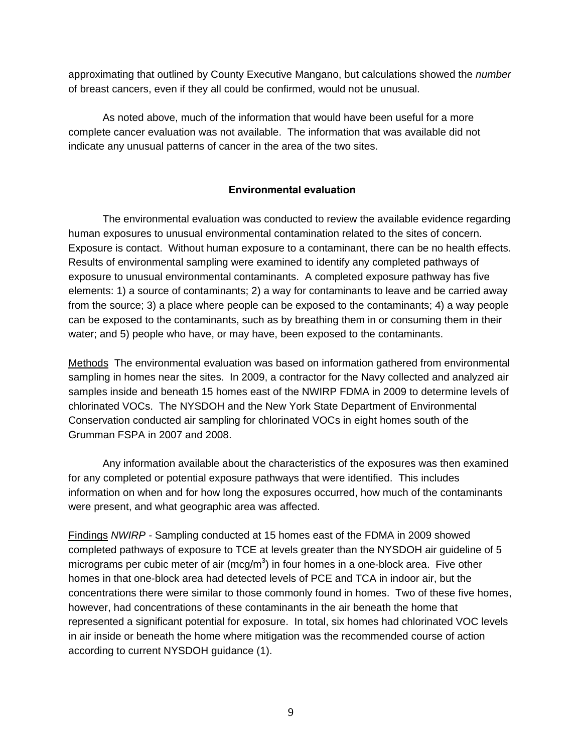approximating that outlined by County Executive Mangano, but calculations showed the *number* of breast cancers, even if they all could be confirmed, would not be unusual.

 As noted above, much of the information that would have been useful for a more complete cancer evaluation was not available. The information that was available did not indicate any unusual patterns of cancer in the area of the two sites.

## **Environmental evaluation**

 The environmental evaluation was conducted to review the available evidence regarding human exposures to unusual environmental contamination related to the sites of concern. Exposure is contact. Without human exposure to a contaminant, there can be no health effects. Results of environmental sampling were examined to identify any completed pathways of exposure to unusual environmental contaminants. A completed exposure pathway has five elements: 1) a source of contaminants; 2) a way for contaminants to leave and be carried away from the source; 3) a place where people can be exposed to the contaminants; 4) a way people can be exposed to the contaminants, such as by breathing them in or consuming them in their water; and 5) people who have, or may have, been exposed to the contaminants.

Methods The environmental evaluation was based on information gathered from environmental sampling in homes near the sites. In 2009, a contractor for the Navy collected and analyzed air samples inside and beneath 15 homes east of the NWIRP FDMA in 2009 to determine levels of chlorinated VOCs. The NYSDOH and the New York State Department of Environmental Conservation conducted air sampling for chlorinated VOCs in eight homes south of the Grumman FSPA in 2007 and 2008.

 Any information available about the characteristics of the exposures was then examined for any completed or potential exposure pathways that were identified. This includes information on when and for how long the exposures occurred, how much of the contaminants were present, and what geographic area was affected.

Findings *NWIRP -* Sampling conducted at 15 homes east of the FDMA in 2009 showed completed pathways of exposure to TCE at levels greater than the NYSDOH air guideline of 5 micrograms per cubic meter of air (mcg/m<sup>3</sup>) in four homes in a one-block area. Five other homes in that one-block area had detected levels of PCE and TCA in indoor air, but the concentrations there were similar to those commonly found in homes. Two of these five homes, however, had concentrations of these contaminants in the air beneath the home that represented a significant potential for exposure. In total, six homes had chlorinated VOC levels in air inside or beneath the home where mitigation was the recommended course of action according to current NYSDOH guidance (1).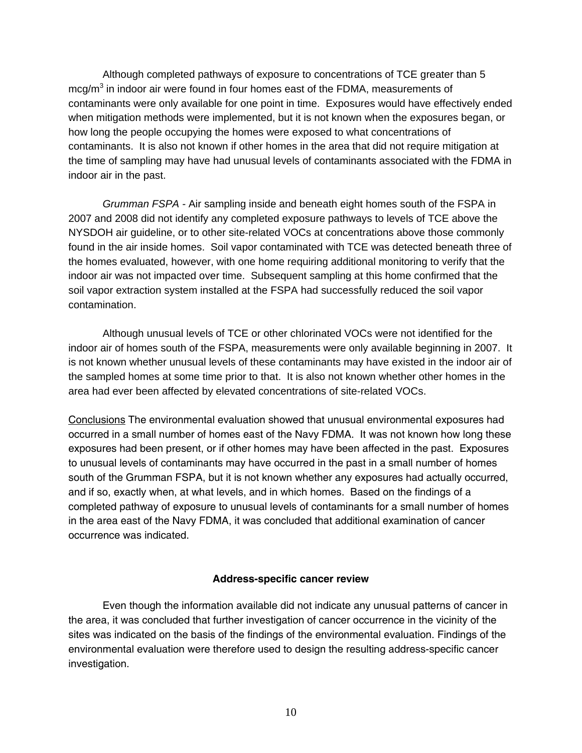Although completed pathways of exposure to concentrations of TCE greater than 5 mcg/m $3$  in indoor air were found in four homes east of the FDMA, measurements of contaminants were only available for one point in time. Exposures would have effectively ended when mitigation methods were implemented, but it is not known when the exposures began, or how long the people occupying the homes were exposed to what concentrations of contaminants. It is also not known if other homes in the area that did not require mitigation at the time of sampling may have had unusual levels of contaminants associated with the FDMA in indoor air in the past.

*Grumman FSPA -* Air sampling inside and beneath eight homes south of the FSPA in 2007 and 2008 did not identify any completed exposure pathways to levels of TCE above the NYSDOH air guideline, or to other site-related VOCs at concentrations above those commonly found in the air inside homes. Soil vapor contaminated with TCE was detected beneath three of the homes evaluated, however, with one home requiring additional monitoring to verify that the indoor air was not impacted over time. Subsequent sampling at this home confirmed that the soil vapor extraction system installed at the FSPA had successfully reduced the soil vapor contamination.

 Although unusual levels of TCE or other chlorinated VOCs were not identified for the indoor air of homes south of the FSPA, measurements were only available beginning in 2007. It is not known whether unusual levels of these contaminants may have existed in the indoor air of the sampled homes at some time prior to that. It is also not known whether other homes in the area had ever been affected by elevated concentrations of site-related VOCs.

Conclusions The environmental evaluation showed that unusual environmental exposures had occurred in a small number of homes east of the Navy FDMA. It was not known how long these exposures had been present, or if other homes may have been affected in the past. Exposures to unusual levels of contaminants may have occurred in the past in a small number of homes south of the Grumman FSPA, but it is not known whether any exposures had actually occurred, and if so, exactly when, at what levels, and in which homes. Based on the findings of a completed pathway of exposure to unusual levels of contaminants for a small number of homes in the area east of the Navy FDMA, it was concluded that additional examination of cancer occurrence was indicated.

### **Address-specific cancer review**

 Even though the information available did not indicate any unusual patterns of cancer in the area, it was concluded that further investigation of cancer occurrence in the vicinity of the sites was indicated on the basis of the findings of the environmental evaluation. Findings of the environmental evaluation were therefore used to design the resulting address-specific cancer investigation.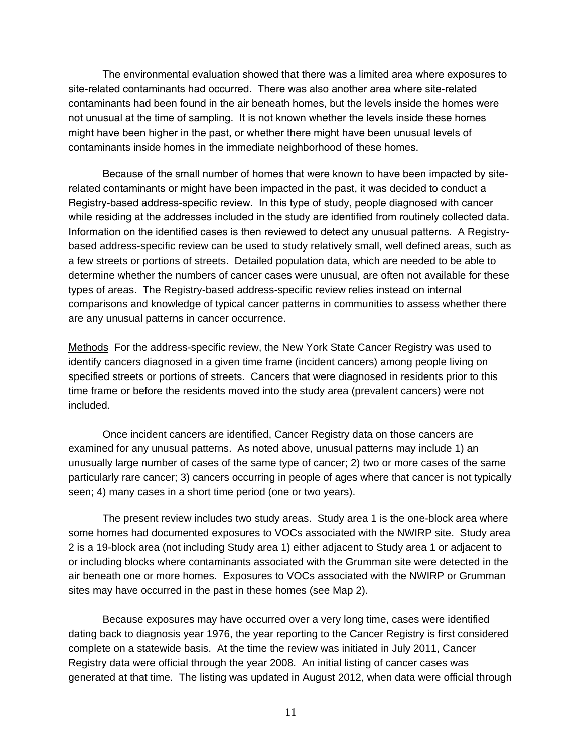The environmental evaluation showed that there was a limited area where exposures to site-related contaminants had occurred. There was also another area where site-related contaminants had been found in the air beneath homes, but the levels inside the homes were not unusual at the time of sampling. It is not known whether the levels inside these homes might have been higher in the past, or whether there might have been unusual levels of contaminants inside homes in the immediate neighborhood of these homes.

 Because of the small number of homes that were known to have been impacted by siterelated contaminants or might have been impacted in the past, it was decided to conduct a Registry-based address-specific review. In this type of study, people diagnosed with cancer while residing at the addresses included in the study are identified from routinely collected data. Information on the identified cases is then reviewed to detect any unusual patterns. A Registrybased address-specific review can be used to study relatively small, well defined areas, such as a few streets or portions of streets. Detailed population data, which are needed to be able to determine whether the numbers of cancer cases were unusual, are often not available for these types of areas. The Registry-based address-specific review relies instead on internal comparisons and knowledge of typical cancer patterns in communities to assess whether there are any unusual patterns in cancer occurrence.

Methods For the address-specific review, the New York State Cancer Registry was used to identify cancers diagnosed in a given time frame (incident cancers) among people living on specified streets or portions of streets. Cancers that were diagnosed in residents prior to this time frame or before the residents moved into the study area (prevalent cancers) were not included.

 Once incident cancers are identified, Cancer Registry data on those cancers are examined for any unusual patterns. As noted above, unusual patterns may include 1) an unusually large number of cases of the same type of cancer; 2) two or more cases of the same particularly rare cancer; 3) cancers occurring in people of ages where that cancer is not typically seen; 4) many cases in a short time period (one or two years).

The present review includes two study areas. Study area 1 is the one-block area where some homes had documented exposures to VOCs associated with the NWIRP site. Study area 2 is a 19-block area (not including Study area 1) either adjacent to Study area 1 or adjacent to or including blocks where contaminants associated with the Grumman site were detected in the air beneath one or more homes. Exposures to VOCs associated with the NWIRP or Grumman sites may have occurred in the past in these homes (see Map 2).

Because exposures may have occurred over a very long time, cases were identified dating back to diagnosis year 1976, the year reporting to the Cancer Registry is first considered complete on a statewide basis. At the time the review was initiated in July 2011, Cancer Registry data were official through the year 2008. An initial listing of cancer cases was generated at that time. The listing was updated in August 2012, when data were official through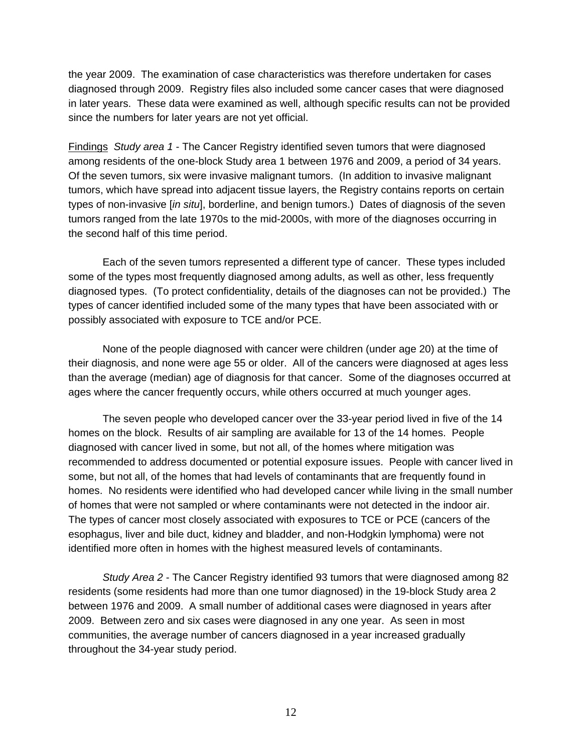the year 2009. The examination of case characteristics was therefore undertaken for cases diagnosed through 2009. Registry files also included some cancer cases that were diagnosed in later years. These data were examined as well, although specific results can not be provided since the numbers for later years are not yet official.

Findings *Study area 1* - The Cancer Registry identified seven tumors that were diagnosed among residents of the one-block Study area 1 between 1976 and 2009, a period of 34 years. Of the seven tumors, six were invasive malignant tumors. (In addition to invasive malignant tumors, which have spread into adjacent tissue layers, the Registry contains reports on certain types of non-invasive [*in situ*], borderline, and benign tumors.) Dates of diagnosis of the seven tumors ranged from the late 1970s to the mid-2000s, with more of the diagnoses occurring in the second half of this time period.

Each of the seven tumors represented a different type of cancer. These types included some of the types most frequently diagnosed among adults, as well as other, less frequently diagnosed types. (To protect confidentiality, details of the diagnoses can not be provided.) The types of cancer identified included some of the many types that have been associated with or possibly associated with exposure to TCE and/or PCE.

 None of the people diagnosed with cancer were children (under age 20) at the time of their diagnosis, and none were age 55 or older. All of the cancers were diagnosed at ages less than the average (median) age of diagnosis for that cancer. Some of the diagnoses occurred at ages where the cancer frequently occurs, while others occurred at much younger ages.

 The seven people who developed cancer over the 33-year period lived in five of the 14 homes on the block. Results of air sampling are available for 13 of the 14 homes. People diagnosed with cancer lived in some, but not all, of the homes where mitigation was recommended to address documented or potential exposure issues. People with cancer lived in some, but not all, of the homes that had levels of contaminants that are frequently found in homes. No residents were identified who had developed cancer while living in the small number of homes that were not sampled or where contaminants were not detected in the indoor air. The types of cancer most closely associated with exposures to TCE or PCE (cancers of the esophagus, liver and bile duct, kidney and bladder, and non-Hodgkin lymphoma) were not identified more often in homes with the highest measured levels of contaminants.

*Study Area 2* - The Cancer Registry identified 93 tumors that were diagnosed among 82 residents (some residents had more than one tumor diagnosed) in the 19-block Study area 2 between 1976 and 2009. A small number of additional cases were diagnosed in years after 2009. Between zero and six cases were diagnosed in any one year. As seen in most communities, the average number of cancers diagnosed in a year increased gradually throughout the 34-year study period.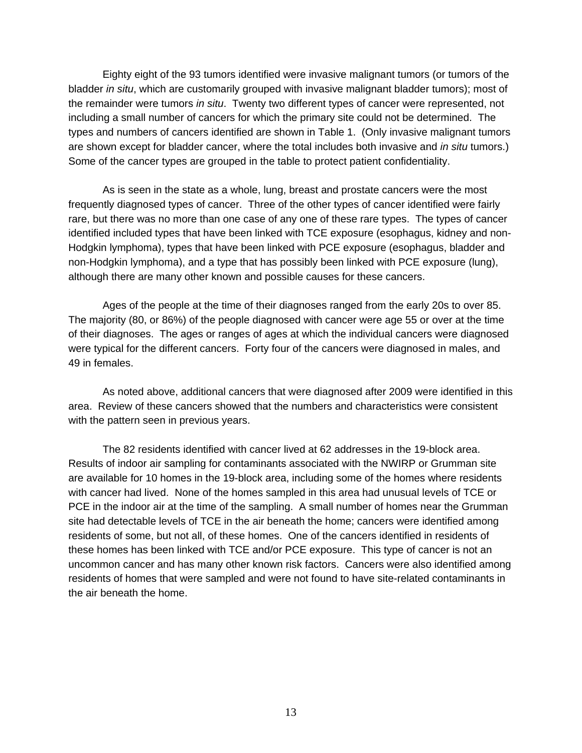Eighty eight of the 93 tumors identified were invasive malignant tumors (or tumors of the bladder *in situ*, which are customarily grouped with invasive malignant bladder tumors); most of the remainder were tumors *in situ*. Twenty two different types of cancer were represented, not including a small number of cancers for which the primary site could not be determined. The types and numbers of cancers identified are shown in Table 1. (Only invasive malignant tumors are shown except for bladder cancer, where the total includes both invasive and *in situ* tumors.) Some of the cancer types are grouped in the table to protect patient confidentiality.

As is seen in the state as a whole, lung, breast and prostate cancers were the most frequently diagnosed types of cancer. Three of the other types of cancer identified were fairly rare, but there was no more than one case of any one of these rare types. The types of cancer identified included types that have been linked with TCE exposure (esophagus, kidney and non-Hodgkin lymphoma), types that have been linked with PCE exposure (esophagus, bladder and non-Hodgkin lymphoma), and a type that has possibly been linked with PCE exposure (lung), although there are many other known and possible causes for these cancers.

 Ages of the people at the time of their diagnoses ranged from the early 20s to over 85. The majority (80, or 86%) of the people diagnosed with cancer were age 55 or over at the time of their diagnoses. The ages or ranges of ages at which the individual cancers were diagnosed were typical for the different cancers. Forty four of the cancers were diagnosed in males, and 49 in females.

 As noted above, additional cancers that were diagnosed after 2009 were identified in this area. Review of these cancers showed that the numbers and characteristics were consistent with the pattern seen in previous years.

 The 82 residents identified with cancer lived at 62 addresses in the 19-block area. Results of indoor air sampling for contaminants associated with the NWIRP or Grumman site are available for 10 homes in the 19-block area, including some of the homes where residents with cancer had lived. None of the homes sampled in this area had unusual levels of TCE or PCE in the indoor air at the time of the sampling. A small number of homes near the Grumman site had detectable levels of TCE in the air beneath the home; cancers were identified among residents of some, but not all, of these homes. One of the cancers identified in residents of these homes has been linked with TCE and/or PCE exposure. This type of cancer is not an uncommon cancer and has many other known risk factors. Cancers were also identified among residents of homes that were sampled and were not found to have site-related contaminants in the air beneath the home.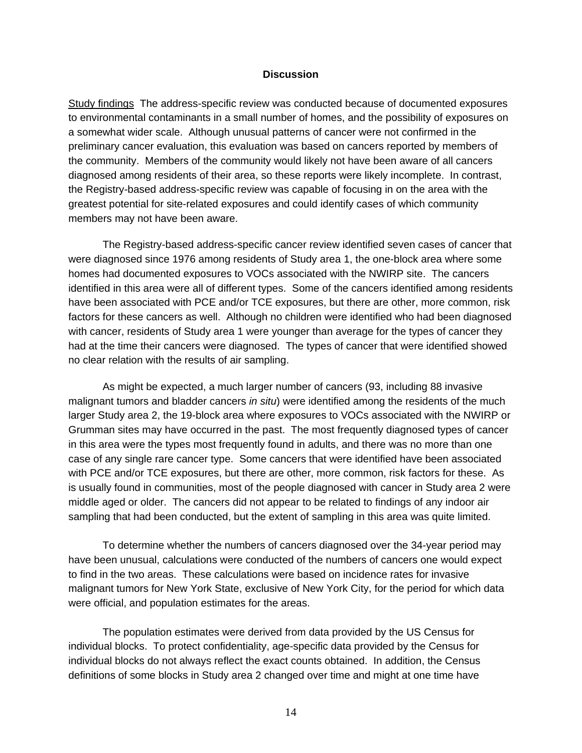#### **Discussion**

Study findings The address-specific review was conducted because of documented exposures to environmental contaminants in a small number of homes, and the possibility of exposures on a somewhat wider scale. Although unusual patterns of cancer were not confirmed in the preliminary cancer evaluation, this evaluation was based on cancers reported by members of the community. Members of the community would likely not have been aware of all cancers diagnosed among residents of their area, so these reports were likely incomplete. In contrast, the Registry-based address-specific review was capable of focusing in on the area with the greatest potential for site-related exposures and could identify cases of which community members may not have been aware.

The Registry-based address-specific cancer review identified seven cases of cancer that were diagnosed since 1976 among residents of Study area 1, the one-block area where some homes had documented exposures to VOCs associated with the NWIRP site. The cancers identified in this area were all of different types. Some of the cancers identified among residents have been associated with PCE and/or TCE exposures, but there are other, more common, risk factors for these cancers as well. Although no children were identified who had been diagnosed with cancer, residents of Study area 1 were younger than average for the types of cancer they had at the time their cancers were diagnosed. The types of cancer that were identified showed no clear relation with the results of air sampling.

 As might be expected, a much larger number of cancers (93, including 88 invasive malignant tumors and bladder cancers *in situ*) were identified among the residents of the much larger Study area 2, the 19-block area where exposures to VOCs associated with the NWIRP or Grumman sites may have occurred in the past. The most frequently diagnosed types of cancer in this area were the types most frequently found in adults, and there was no more than one case of any single rare cancer type. Some cancers that were identified have been associated with PCE and/or TCE exposures, but there are other, more common, risk factors for these. As is usually found in communities, most of the people diagnosed with cancer in Study area 2 were middle aged or older. The cancers did not appear to be related to findings of any indoor air sampling that had been conducted, but the extent of sampling in this area was quite limited.

 To determine whether the numbers of cancers diagnosed over the 34-year period may have been unusual, calculations were conducted of the numbers of cancers one would expect to find in the two areas. These calculations were based on incidence rates for invasive malignant tumors for New York State, exclusive of New York City, for the period for which data were official, and population estimates for the areas.

The population estimates were derived from data provided by the US Census for individual blocks. To protect confidentiality, age-specific data provided by the Census for individual blocks do not always reflect the exact counts obtained. In addition, the Census definitions of some blocks in Study area 2 changed over time and might at one time have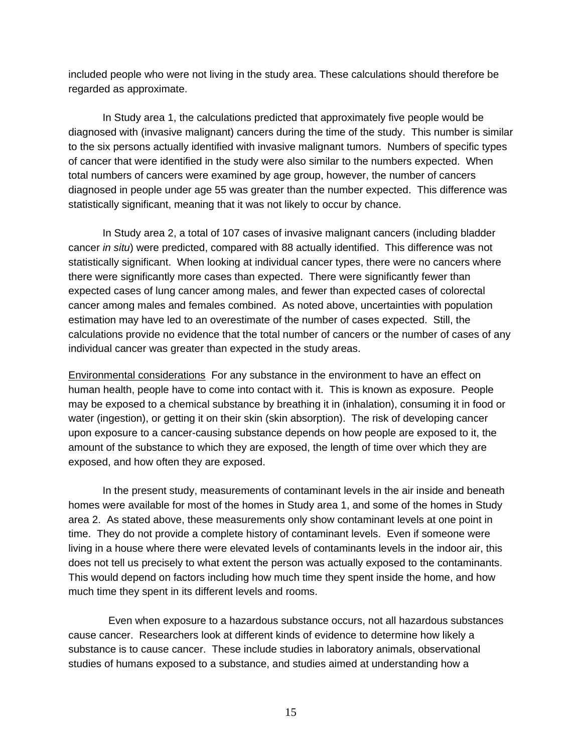included people who were not living in the study area. These calculations should therefore be regarded as approximate.

In Study area 1, the calculations predicted that approximately five people would be diagnosed with (invasive malignant) cancers during the time of the study. This number is similar to the six persons actually identified with invasive malignant tumors. Numbers of specific types of cancer that were identified in the study were also similar to the numbers expected. When total numbers of cancers were examined by age group, however, the number of cancers diagnosed in people under age 55 was greater than the number expected. This difference was statistically significant, meaning that it was not likely to occur by chance.

 In Study area 2, a total of 107 cases of invasive malignant cancers (including bladder cancer *in situ*) were predicted, compared with 88 actually identified. This difference was not statistically significant. When looking at individual cancer types, there were no cancers where there were significantly more cases than expected. There were significantly fewer than expected cases of lung cancer among males, and fewer than expected cases of colorectal cancer among males and females combined. As noted above, uncertainties with population estimation may have led to an overestimate of the number of cases expected. Still, the calculations provide no evidence that the total number of cancers or the number of cases of any individual cancer was greater than expected in the study areas.

Environmental considerations For any substance in the environment to have an effect on human health, people have to come into contact with it. This is known as exposure. People may be exposed to a chemical substance by breathing it in (inhalation), consuming it in food or water (ingestion), or getting it on their skin (skin absorption). The risk of developing cancer upon exposure to a cancer-causing substance depends on how people are exposed to it, the amount of the substance to which they are exposed, the length of time over which they are exposed, and how often they are exposed.

 In the present study, measurements of contaminant levels in the air inside and beneath homes were available for most of the homes in Study area 1, and some of the homes in Study area 2. As stated above, these measurements only show contaminant levels at one point in time. They do not provide a complete history of contaminant levels. Even if someone were living in a house where there were elevated levels of contaminants levels in the indoor air, this does not tell us precisely to what extent the person was actually exposed to the contaminants. This would depend on factors including how much time they spent inside the home, and how much time they spent in its different levels and rooms.

 Even when exposure to a hazardous substance occurs, not all hazardous substances cause cancer. Researchers look at different kinds of evidence to determine how likely a substance is to cause cancer. These include studies in laboratory animals, observational studies of humans exposed to a substance, and studies aimed at understanding how a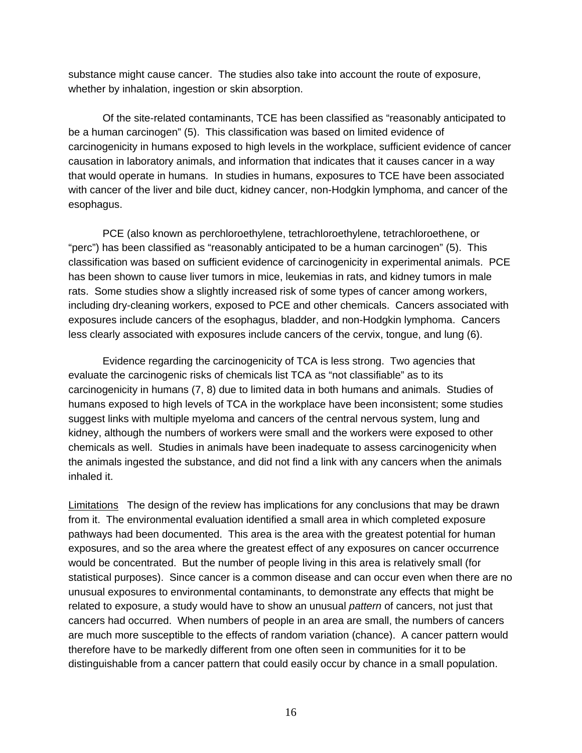substance might cause cancer. The studies also take into account the route of exposure, whether by inhalation, ingestion or skin absorption.

 Of the site-related contaminants, TCE has been classified as "reasonably anticipated to be a human carcinogen" (5). This classification was based on limited evidence of carcinogenicity in humans exposed to high levels in the workplace, sufficient evidence of cancer causation in laboratory animals, and information that indicates that it causes cancer in a way that would operate in humans. In studies in humans, exposures to TCE have been associated with cancer of the liver and bile duct, kidney cancer, non-Hodgkin lymphoma, and cancer of the esophagus.

 PCE (also known as perchloroethylene, tetrachloroethylene, tetrachloroethene, or "perc") has been classified as "reasonably anticipated to be a human carcinogen" (5). This classification was based on sufficient evidence of carcinogenicity in experimental animals. PCE has been shown to cause liver tumors in mice, leukemias in rats, and kidney tumors in male rats. Some studies show a slightly increased risk of some types of cancer among workers, including dry-cleaning workers, exposed to PCE and other chemicals. Cancers associated with exposures include cancers of the esophagus, bladder, and non-Hodgkin lymphoma. Cancers less clearly associated with exposures include cancers of the cervix, tongue, and lung (6).

 Evidence regarding the carcinogenicity of TCA is less strong. Two agencies that evaluate the carcinogenic risks of chemicals list TCA as "not classifiable" as to its carcinogenicity in humans (7, 8) due to limited data in both humans and animals. Studies of humans exposed to high levels of TCA in the workplace have been inconsistent; some studies suggest links with multiple myeloma and cancers of the central nervous system, lung and kidney, although the numbers of workers were small and the workers were exposed to other chemicals as well. Studies in animals have been inadequate to assess carcinogenicity when the animals ingested the substance, and did not find a link with any cancers when the animals inhaled it.

Limitations The design of the review has implications for any conclusions that may be drawn from it. The environmental evaluation identified a small area in which completed exposure pathways had been documented. This area is the area with the greatest potential for human exposures, and so the area where the greatest effect of any exposures on cancer occurrence would be concentrated. But the number of people living in this area is relatively small (for statistical purposes). Since cancer is a common disease and can occur even when there are no unusual exposures to environmental contaminants, to demonstrate any effects that might be related to exposure, a study would have to show an unusual *pattern* of cancers, not just that cancers had occurred. When numbers of people in an area are small, the numbers of cancers are much more susceptible to the effects of random variation (chance). A cancer pattern would therefore have to be markedly different from one often seen in communities for it to be distinguishable from a cancer pattern that could easily occur by chance in a small population.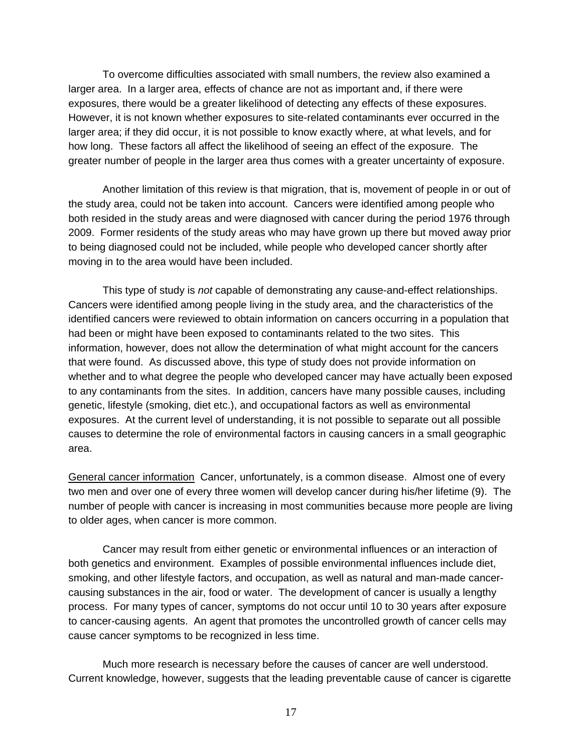To overcome difficulties associated with small numbers, the review also examined a larger area. In a larger area, effects of chance are not as important and, if there were exposures, there would be a greater likelihood of detecting any effects of these exposures. However, it is not known whether exposures to site-related contaminants ever occurred in the larger area; if they did occur, it is not possible to know exactly where, at what levels, and for how long. These factors all affect the likelihood of seeing an effect of the exposure. The greater number of people in the larger area thus comes with a greater uncertainty of exposure.

 Another limitation of this review is that migration, that is, movement of people in or out of the study area, could not be taken into account. Cancers were identified among people who both resided in the study areas and were diagnosed with cancer during the period 1976 through 2009. Former residents of the study areas who may have grown up there but moved away prior to being diagnosed could not be included, while people who developed cancer shortly after moving in to the area would have been included.

 This type of study is *not* capable of demonstrating any cause-and-effect relationships. Cancers were identified among people living in the study area, and the characteristics of the identified cancers were reviewed to obtain information on cancers occurring in a population that had been or might have been exposed to contaminants related to the two sites. This information, however, does not allow the determination of what might account for the cancers that were found. As discussed above, this type of study does not provide information on whether and to what degree the people who developed cancer may have actually been exposed to any contaminants from the sites. In addition, cancers have many possible causes, including genetic, lifestyle (smoking, diet etc.), and occupational factors as well as environmental exposures. At the current level of understanding, it is not possible to separate out all possible causes to determine the role of environmental factors in causing cancers in a small geographic area.

General cancer information Cancer, unfortunately, is a common disease. Almost one of every two men and over one of every three women will develop cancer during his/her lifetime (9). The number of people with cancer is increasing in most communities because more people are living to older ages, when cancer is more common.

 Cancer may result from either genetic or environmental influences or an interaction of both genetics and environment. Examples of possible environmental influences include diet, smoking, and other lifestyle factors, and occupation, as well as natural and man-made cancercausing substances in the air, food or water. The development of cancer is usually a lengthy process. For many types of cancer, symptoms do not occur until 10 to 30 years after exposure to cancer-causing agents. An agent that promotes the uncontrolled growth of cancer cells may cause cancer symptoms to be recognized in less time.

 Much more research is necessary before the causes of cancer are well understood. Current knowledge, however, suggests that the leading preventable cause of cancer is cigarette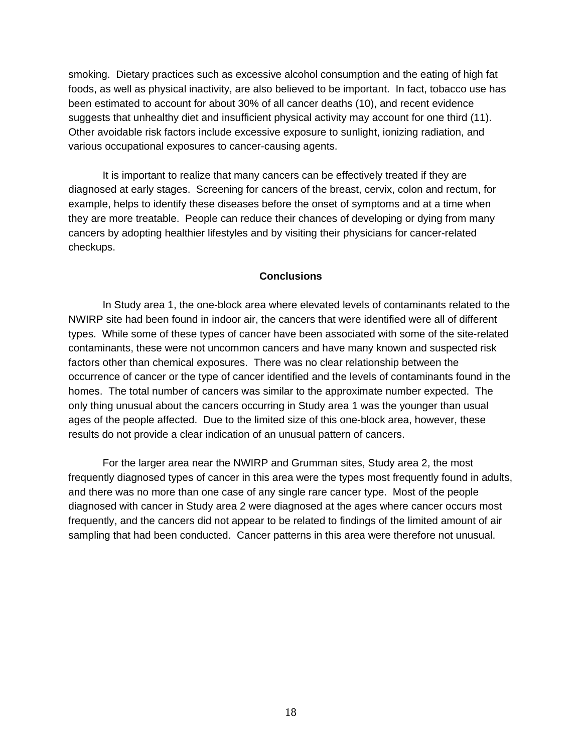smoking. Dietary practices such as excessive alcohol consumption and the eating of high fat foods, as well as physical inactivity, are also believed to be important. In fact, tobacco use has been estimated to account for about 30% of all cancer deaths (10), and recent evidence suggests that unhealthy diet and insufficient physical activity may account for one third (11). Other avoidable risk factors include excessive exposure to sunlight, ionizing radiation, and various occupational exposures to cancer-causing agents.

 It is important to realize that many cancers can be effectively treated if they are diagnosed at early stages. Screening for cancers of the breast, cervix, colon and rectum, for example, helps to identify these diseases before the onset of symptoms and at a time when they are more treatable. People can reduce their chances of developing or dying from many cancers by adopting healthier lifestyles and by visiting their physicians for cancer-related checkups.

### **Conclusions**

 In Study area 1, the one-block area where elevated levels of contaminants related to the NWIRP site had been found in indoor air, the cancers that were identified were all of different types. While some of these types of cancer have been associated with some of the site-related contaminants, these were not uncommon cancers and have many known and suspected risk factors other than chemical exposures. There was no clear relationship between the occurrence of cancer or the type of cancer identified and the levels of contaminants found in the homes. The total number of cancers was similar to the approximate number expected. The only thing unusual about the cancers occurring in Study area 1 was the younger than usual ages of the people affected. Due to the limited size of this one-block area, however, these results do not provide a clear indication of an unusual pattern of cancers.

 For the larger area near the NWIRP and Grumman sites, Study area 2, the most frequently diagnosed types of cancer in this area were the types most frequently found in adults, and there was no more than one case of any single rare cancer type. Most of the people diagnosed with cancer in Study area 2 were diagnosed at the ages where cancer occurs most frequently, and the cancers did not appear to be related to findings of the limited amount of air sampling that had been conducted. Cancer patterns in this area were therefore not unusual.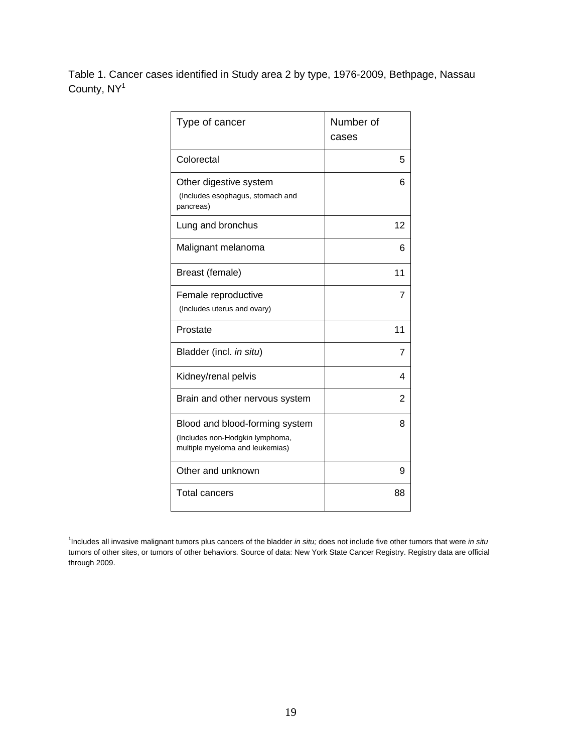Table 1. Cancer cases identified in Study area 2 by type, 1976-2009, Bethpage, Nassau County, NY<sup>1</sup>

| Type of cancer                                                                                       | Number of<br>cases |
|------------------------------------------------------------------------------------------------------|--------------------|
| Colorectal                                                                                           | 5                  |
| Other digestive system<br>(Includes esophagus, stomach and<br>pancreas)                              | 6                  |
| Lung and bronchus                                                                                    | 12                 |
| Malignant melanoma                                                                                   | 6                  |
| Breast (female)                                                                                      | 11                 |
| Female reproductive<br>(Includes uterus and ovary)                                                   | 7                  |
| Prostate                                                                                             | 11                 |
| Bladder (incl. in situ)                                                                              | 7                  |
| Kidney/renal pelvis                                                                                  | 4                  |
| Brain and other nervous system                                                                       | 2                  |
| Blood and blood-forming system<br>(Includes non-Hodgkin lymphoma,<br>multiple myeloma and leukemias) | 8                  |
| Other and unknown                                                                                    | 9                  |
| <b>Total cancers</b>                                                                                 | 88                 |

<sup>1</sup> Includes all invasive malignant tumors plus cancers of the bladder *in situ;* does not include five other tumors that were *in situ*  tumors of other sites, or tumors of other behaviors*.* Source of data: New York State Cancer Registry. Registry data are official through 2009.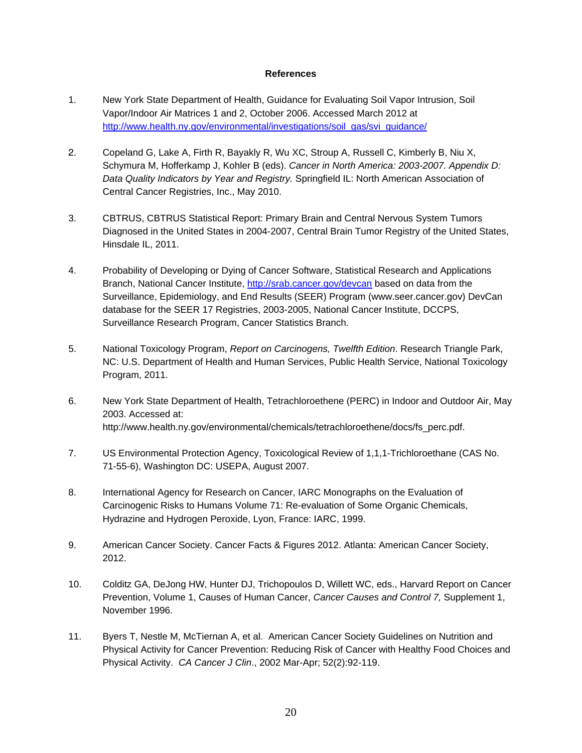#### **References**

- 1. New York State Department of Health, Guidance for Evaluating Soil Vapor Intrusion, Soil Vapor/Indoor Air Matrices 1 and 2, October 2006. Accessed March 2012 at http://www.health.ny.gov/environmental/investigations/soil\_gas/svi\_guidance/
- 2. Copeland G, Lake A, Firth R, Bayakly R, Wu XC, Stroup A, Russell C, Kimberly B, Niu X, Schymura M, Hofferkamp J, Kohler B (eds). *Cancer in North America: 2003-2007. Appendix D: Data Quality Indicators by Year and Registry.* Springfield IL: North American Association of Central Cancer Registries, Inc., May 2010.
- 3. CBTRUS, CBTRUS Statistical Report: Primary Brain and Central Nervous System Tumors Diagnosed in the United States in 2004-2007, Central Brain Tumor Registry of the United States, Hinsdale IL, 2011.
- 4. Probability of Developing or Dying of Cancer Software, Statistical Research and Applications Branch, National Cancer Institute, http://srab.cancer.gov/devcan based on data from the Surveillance, Epidemiology, and End Results (SEER) Program (www.seer.cancer.gov) DevCan database for the SEER 17 Registries, 2003-2005, National Cancer Institute, DCCPS, Surveillance Research Program, Cancer Statistics Branch.
- 5. National Toxicology Program, *Report on Carcinogens, Twelfth Edition*. Research Triangle Park, NC: U.S. Department of Health and Human Services, Public Health Service, National Toxicology Program, 2011.
- 6. New York State Department of Health, Tetrachloroethene (PERC) in Indoor and Outdoor Air, May 2003. Accessed at: http://www.health.ny.gov/environmental/chemicals/tetrachloroethene/docs/fs\_perc.pdf.
- 7. US Environmental Protection Agency, Toxicological Review of 1,1,1-Trichloroethane (CAS No. 71-55-6), Washington DC: USEPA, August 2007.
- 8. International Agency for Research on Cancer, IARC Monographs on the Evaluation of Carcinogenic Risks to Humans Volume 71: Re-evaluation of Some Organic Chemicals, Hydrazine and Hydrogen Peroxide, Lyon, France: IARC, 1999.
- 9. American Cancer Society. Cancer Facts & Figures 2012. Atlanta: American Cancer Society, 2012.
- 10. Colditz GA, DeJong HW, Hunter DJ, Trichopoulos D, Willett WC, eds., Harvard Report on Cancer Prevention, Volume 1, Causes of Human Cancer, *Cancer Causes and Control 7,* Supplement 1, November 1996.
- 11. Byers T, Nestle M, McTiernan A, et al. American Cancer Society Guidelines on Nutrition and Physical Activity for Cancer Prevention: Reducing Risk of Cancer with Healthy Food Choices and Physical Activity. *CA Cancer J Clin*., 2002 Mar-Apr; 52(2):92-119.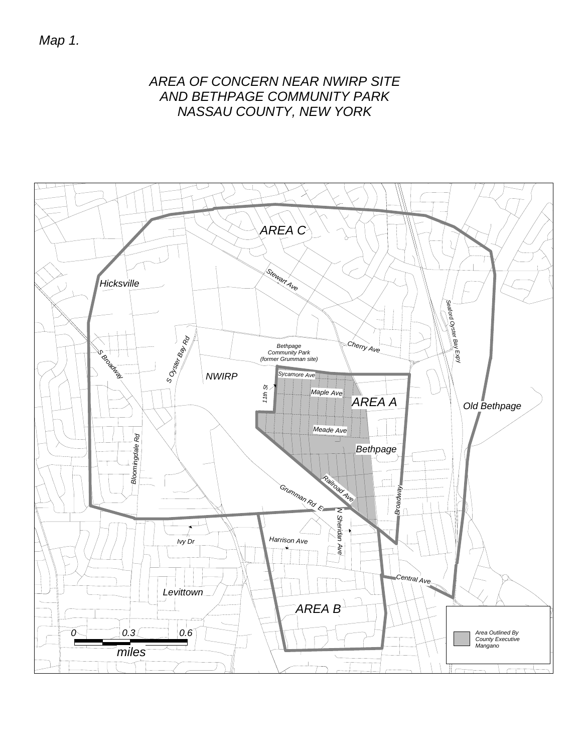*Map 1.*

# *AREA OF CONCERN NEAR NWIRP SITE AND BETHPAGE COMMUNITY PARK NASSAU COUNTY, NEW YORK*